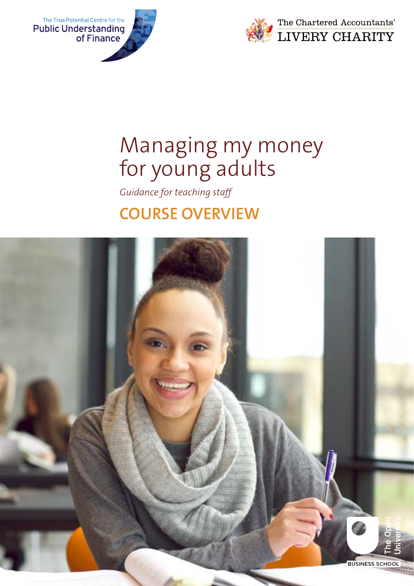



*Guidance for teaching staff*

## **COURSE OVERVIEW**

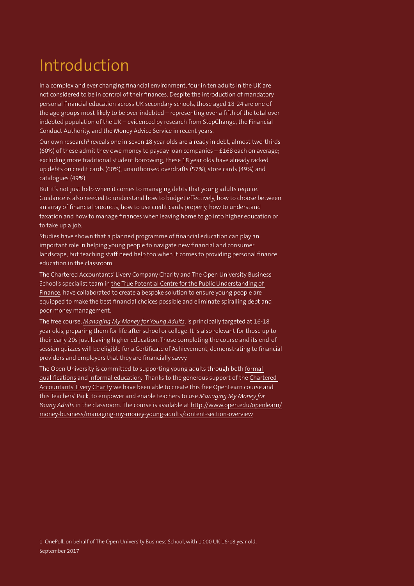# Introduction

In a complex and ever changing financial environment, four in ten adults in the UK are not considered to be in control of their finances. Despite the introduction of mandatory personal financial education across UK secondary schools, those aged 18-24 are one of the age groups most likely to be over-indebted – representing over a fifth of the total over indebted population of the UK – evidenced by research from StepChange, the Financial Conduct Authority, and the Money Advice Service in recent years.

Our own research $^{\rm 1}$  reveals one in seven 18 year olds are already in debt, almost two-thirds (60%) of these admit they owe money to payday loan companies  $-$  £168 each on average; excluding more traditional student borrowing, these 18 year olds have already racked up debts on credit cards (60%), unauthorised overdrafts (57%), store cards (49%) and catalogues (49%).

But it's not just help when it comes to managing debts that young adults require. Guidance is also needed to understand how to budget effectively, how to choose between an array of financial products, how to use credit cards properly, how to understand taxation and how to manage finances when leaving home to go into higher education or to take up a job.

Studies have shown that a planned programme of financial education can play an important role in helping young people to navigate new financial and consumer landscape, but teaching staff need help too when it comes to providing personal finance education in the classroom.

The Chartered Accountants' Livery Company Charity and The Open University Business School's specialist team [in the True Potential Centre for the Public Understanding of](http://www.open.ac.uk/business-school-research/pufin/)  [Finance,](http://www.open.ac.uk/business-school-research/pufin/) have collaborated to create a bespoke solution to ensure young people are equipped to make the best financial choices possible and eliminate spiralling debt and poor money management.

The free course, *[Managing My Money for Young Adults](http://www.open.edu/openlearn/)*, is principally targeted at 16-18 year olds, preparing them for life after school or college. It is also relevant for those up to their early 20s just leaving higher education. Those completing the course and its end-ofsession quizzes will be eligible for a Certificate of Achievement, demonstrating to financial providers and employers that they are financially savvy.

The Open University is committed to supporting young adults through both [formal](http://business-school.open.ac.uk/study/undergraduate-qualifications)  [qualifications](http://business-school.open.ac.uk/study/undergraduate-qualifications) and [informal education.](http://www.open.edu/openlearn/) Thanks to the generous support of the [Chartered](http://www.wccaew.org.uk/index.php/charities/tgct)  [Accountants' Livery Charity](http://www.wccaew.org.uk/index.php/charities/tgct) we have been able to create this free OpenLearn course and this Teachers' Pack, to empower and enable teachers to use *Managing My Money for Young Adults* in the classroom. The course is available at<http://www.open.edu/openlearn/> [money-business/managing-my-money-young-adults/content-section-overview](http://www.open.edu/openlearn/)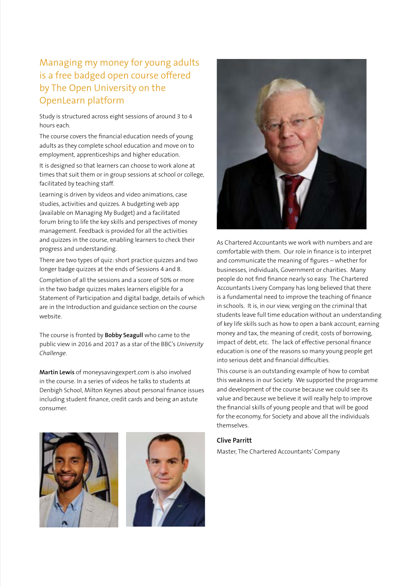### Managing my money for young adults is a free badged open course offered by The Open University on the OpenLearn platform

Study is structured across eight sessions of around 3 to 4 hours each.

The course covers the financial education needs of young adults as they complete school education and move on to employment, apprenticeships and higher education.

It is designed so that learners can choose to work alone at times that suit them or in group sessions at school or college, facilitated by teaching staff.

Learning is driven by videos and video animations, case studies, activities and quizzes. A budgeting web app (available on Managing My Budget) and a facilitated forum bring to life the key skills and perspectives of money management. Feedback is provided for all the activities and quizzes in the course, enabling learners to check their progress and understanding.

There are two types of quiz: short practice quizzes and two longer badge quizzes at the ends of Sessions 4 and 8.

Completion of all the sessions and a score of 50% or more in the two badge quizzes makes learners eligible for a Statement of Participation and digital badge, details of which are in the Introduction and guidance section on the course website.

The course is fronted by **Bobby Seagull** who came to the public view in 2016 and 2017 as a star of the BBC's *University Challenge*.

**Martin Lewis** of moneysavingexpert.com is also involved in the course. In a series of videos he talks to students at Denbigh School, Milton Keynes about personal finance issues including student finance, credit cards and being an astute consumer.







As Chartered Accountants we work with numbers and are comfortable with them. Our role in finance is to interpret and communicate the meaning of figures – whether for businesses, individuals, Government or charities. Many people do not find finance nearly so easy. The Chartered Accountants Livery Company has long believed that there is a fundamental need to improve the teaching of finance in schools. It is, in our view, verging on the criminal that students leave full time education without an understanding of key life skills such as how to open a bank account, earning money and tax, the meaning of credit, costs of borrowing, impact of debt, etc. The lack of effective personal finance education is one of the reasons so many young people get into serious debt and financial difficulties.

This course is an outstanding example of how to combat this weakness in our Society. We supported the programme and development of the course because we could see its value and because we believe it will really help to improve the financial skills of young people and that will be good for the economy, for Society and above all the individuals themselves.

#### **Clive Parritt**

Master, The Chartered Accountants' Company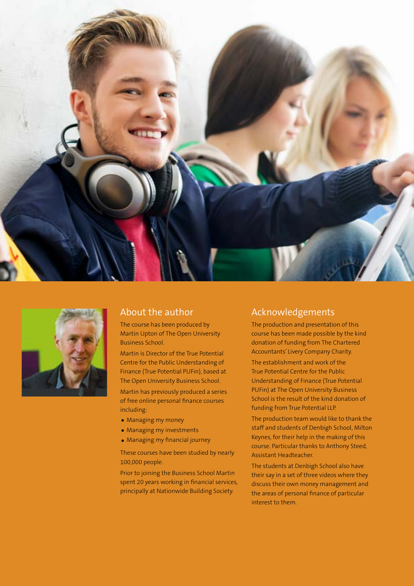



### About the author

The course has been produced by Martin Upton of The Open University Business School.

Martin is Director of the True Potential Centre for the Public Understanding of Finance (True Potential PUFin), based at The Open University Business School.

Martin has previously produced a series of free online personal finance courses including:

- Managing my money
- Managing my investments
- Managing my financial journey

These courses have been studied by nearly 100,000 people.

Prior to joining the Business School Martin spent 20 years working in financial services, principally at Nationwide Building Society.

### Acknowledgements

The production and presentation of this course has been made possible by the kind donation of funding from The Chartered Accountants' Livery Company Charity.

The establishment and work of the True Potential Centre for the Public Understanding of Finance (True Potential PUFin) at The Open University Business School is the result of the kind donation of funding from True Potential LLP.

The production team would like to thank the staff and students of Denbigh School, Milton Keynes, for their help in the making of this course. Particular thanks to Anthony Steed, Assistant Headteacher.

The students at Denbigh School also have their say in a set of three videos where they discuss their own money management and the areas of personal finance of particular interest to them.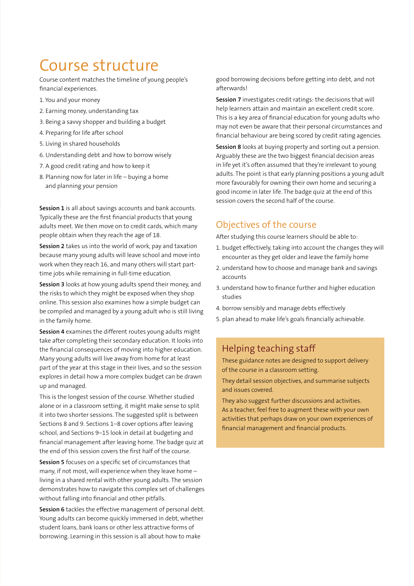## Course structure

Course content matches the timeline of young people's financial experiences.

- 1. You and your money
- 2. Earning money, understanding tax
- 3. Being a savvy shopper and building a budget
- 4. Preparing for life after school
- 5. Living in shared households
- 6. Understanding debt and how to borrow wisely
- 7. A good credit rating and how to keep it
- 8. Planning now for later in life buying a home and planning your pension

**Session 1** is all about savings accounts and bank accounts. Typically these are the first financial products that young adults meet. We then move on to credit cards, which many people obtain when they reach the age of 18.

**Session 2** takes us into the world of work, pay and taxation because many young adults will leave school and move into work when they reach 16, and many others will start parttime jobs while remaining in full-time education.

**Session 3** looks at how young adults spend their money, and the risks to which they might be exposed when they shop online. This session also examines how a simple budget can be compiled and managed by a young adult who is still living in the family home.

**Session 4** examines the different routes young adults might take after completing their secondary education. It looks into the financial consequences of moving into higher education. Many young adults will live away from home for at least part of the year at this stage in their lives, and so the session explores in detail how a more complex budget can be drawn up and managed.

This is the longest session of the course. Whether studied alone or in a classroom setting, it might make sense to split it into two shorter sessions. The suggested split is between Sections 8 and 9. Sections 1–8 cover options after leaving school, and Sections 9–15 look in detail at budgeting and financial management after leaving home. The badge quiz at the end of this session covers the first half of the course.

**Session 5** focuses on a specific set of circumstances that many, if not most, will experience when they leave home – living in a shared rental with other young adults. The session demonstrates how to navigate this complex set of challenges without falling into financial and other pitfalls.

**Session 6** tackles the effective management of personal debt. Young adults can become quickly immersed in debt, whether student loans, bank loans or other less attractive forms of borrowing. Learning in this session is all about how to make

good borrowing decisions before getting into debt, and not afterwards!

**Session 7** investigates credit ratings: the decisions that will help learners attain and maintain an excellent credit score. This is a key area of financial education for young adults who may not even be aware that their personal circumstances and financial behaviour are being scored by credit rating agencies.

**Session 8** looks at buying property and sorting out a pension. Arguably these are the two biggest financial decision areas in life yet it's often assumed that they're irrelevant to young adults. The point is that early planning positions a young adult more favourably for owning their own home and securing a good income in later life. The badge quiz at the end of this session covers the second half of the course.

### Objectives of the course

After studying this course learners should be able to:

- 1. budget effectively, taking into account the changes they will encounter as they get older and leave the family home
- 2. understand how to choose and manage bank and savings accounts
- 3. understand how to finance further and higher education studies
- 4. borrow sensibly and manage debts effectively
- 5. plan ahead to make life's goals financially achievable.

### Helping teaching staff

These guidance notes are designed to support delivery of the course in a classroom setting.

They detail session objectives, and summarise subjects and issues covered.

They also suggest further discussions and activities. As a teacher, feel free to augment these with your own activities that perhaps draw on your own experiences of financial management and financial products.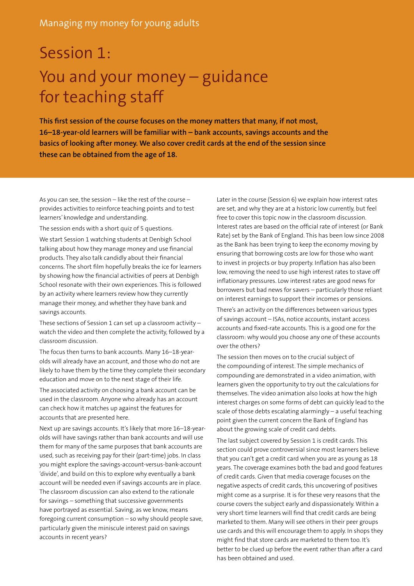# Session 1: You and your money – guidance for teaching staff

**This first session of the course focuses on the money matters that many, if not most, 16–18-year-old learners will be familiar with – bank accounts, savings accounts and the basics of looking after money. We also cover credit cards at the end of the session since these can be obtained from the age of 18.** 

As you can see, the session – like the rest of the course – provides activities to reinforce teaching points and to test learners' knowledge and understanding.

The session ends with a short quiz of 5 questions.

We start Session 1 watching students at Denbigh School talking about how they manage money and use financial products. They also talk candidly about their financial concerns. The short film hopefully breaks the ice for learners by showing how the financial activities of peers at Denbigh School resonate with their own experiences. This is followed by an activity where learners review how they currently manage their money, and whether they have bank and savings accounts.

These sections of Session 1 can set up a classroom activity – watch the video and then complete the activity, followed by a classroom discussion.

The focus then turns to bank accounts. Many 16–18-yearolds will already have an account, and those who do not are likely to have them by the time they complete their secondary education and move on to the next stage of their life.

The associated activity on choosing a bank account can be used in the classroom. Anyone who already has an account can check how it matches up against the features for accounts that are presented here.

Next up are savings accounts. It's likely that more 16–18-yearolds will have savings rather than bank accounts and will use them for many of the same purposes that bank accounts are used, such as receiving pay for their (part-time) jobs. In class you might explore the savings-account-versus-bank-account 'divide', and build on this to explore why eventually a bank account will be needed even if savings accounts are in place. The classroom discussion can also extend to the rationale for savings – something that successive governments have portrayed as essential. Saving, as we know, means foregoing current consumption – so why should people save, particularly given the miniscule interest paid on savings accounts in recent years?

Later in the course (Session 6) we explain how interest rates are set, and why they are at a historic low currently, but feel free to cover this topic now in the classroom discussion. Interest rates are based on the official rate of interest (or Bank Rate) set by the Bank of England. This has been low since 2008 as the Bank has been trying to keep the economy moving by ensuring that borrowing costs are low for those who want to invest in projects or buy property. Inflation has also been low, removing the need to use high interest rates to stave off inflationary pressures. Low interest rates are good news for borrowers but bad news for savers – particularly those reliant on interest earnings to support their incomes or pensions.

There's an activity on the differences between various types of savings account – ISAs, notice accounts, instant access accounts and fixed-rate accounts. This is a good one for the classroom: why would you choose any one of these accounts over the others?

The session then moves on to the crucial subject of the compounding of interest. The simple mechanics of compounding are demonstrated in a video animation, with learners given the opportunity to try out the calculations for themselves. The video animation also looks at how the high interest charges on some forms of debt can quickly lead to the scale of those debts escalating alarmingly – a useful teaching point given the current concern the Bank of England has about the growing scale of credit card debts.

The last subject covered by Session 1 is credit cards. This section could prove controversial since most learners believe that you can't get a credit card when you are as young as 18 years. The coverage examines both the bad and good features of credit cards. Given that media coverage focuses on the negative aspects of credit cards, this uncovering of positives might come as a surprise. It is for these very reasons that the course covers the subject early and dispassionately. Within a very short time learners will find that credit cards are being marketed to them. Many will see others in their peer groups use cards and this will encourage them to apply. In shops they might find that store cards are marketed to them too. It's better to be clued up before the event rather than after a card has been obtained and used.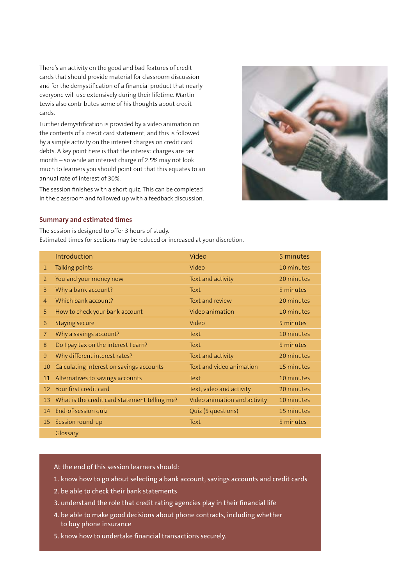There's an activity on the good and bad features of credit cards that should provide material for classroom discussion and for the demystification of a financial product that nearly everyone will use extensively during their lifetime. Martin Lewis also contributes some of his thoughts about credit cards.

Further demystification is provided by a video animation on the contents of a credit card statement, and this is followed by a simple activity on the interest charges on credit card debts. A key point here is that the interest charges are per month – so while an interest charge of 2.5% may not look much to learners you should point out that this equates to an annual rate of interest of 30%.

The session finishes with a short quiz. This can be completed in the classroom and followed up with a feedback discussion.



#### **Summary and estimated times**

The session is designed to offer 3 hours of study. Estimated times for sections may be reduced or increased at your discretion.

|                | Introduction                                  | Video                        | 5 minutes  |
|----------------|-----------------------------------------------|------------------------------|------------|
| $\mathbf{1}$   | Talking points                                | Video                        | 10 minutes |
| 2              | You and your money now                        | Text and activity            | 20 minutes |
| 3              | Why a bank account?                           | Text                         | 5 minutes  |
| $\overline{4}$ | Which bank account?                           | Text and review              | 20 minutes |
| 5              | How to check your bank account                | Video animation              | 10 minutes |
| 6              | <b>Staying secure</b>                         | Video                        | 5 minutes  |
| $\overline{7}$ | Why a savings account?                        | Text                         | 10 minutes |
| 8              | Do I pay tax on the interest I earn?          | Text                         | 5 minutes  |
| 9              | Why different interest rates?                 | Text and activity            | 20 minutes |
| 10             | Calculating interest on savings accounts      | Text and video animation     | 15 minutes |
| 11             | Alternatives to savings accounts              | Text                         | 10 minutes |
| 12             | Your first credit card                        | Text, video and activity     | 20 minutes |
| 13             | What is the credit card statement telling me? | Video animation and activity | 10 minutes |
| 14             | End-of-session quiz                           | Quiz (5 questions)           | 15 minutes |
|                | 15 Session round-up                           | Text                         | 5 minutes  |
|                | Glossary                                      |                              |            |

- 1. know how to go about selecting a bank account, savings accounts and credit cards
- 2. be able to check their bank statements
- 3. understand the role that credit rating agencies play in their financial life
- 4. be able to make good decisions about phone contracts, including whether to buy phone insurance
- 5. know how to undertake financial transactions securely.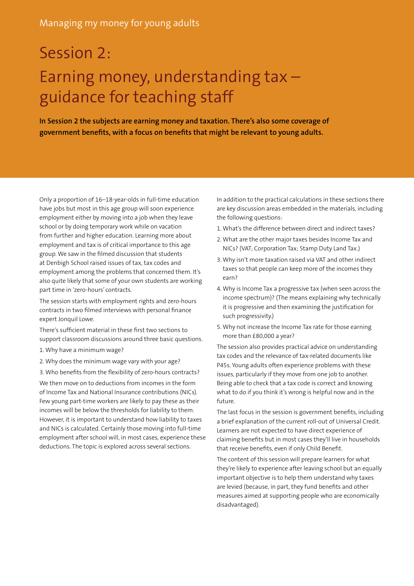# Session 2: Earning money, understanding tax – guidance for teaching staff

**In Session 2 the subjects are earning money and taxation. There's also some coverage of government benefits, with a focus on benefits that might be relevant to young adults.**

Only a proportion of 16–18-year-olds in full-time education have jobs but most in this age group will soon experience employment either by moving into a job when they leave school or by doing temporary work while on vacation from further and higher education. Learning more about employment and tax is of critical importance to this age group. We saw in the filmed discussion that students at Denbigh School raised issues of tax, tax codes and employment among the problems that concerned them. It's also quite likely that some of your own students are working part time in 'zero-hours' contracts.

The session starts with employment rights and zero-hours contracts in two filmed interviews with personal finance expert Jonquil Lowe.

There's sufficient material in these first two sections to support classroom discussions around three basic questions.

- 1. Why have a minimum wage?
- 2. Why does the minimum wage vary with your age?
- 3. Who benefits from the flexibility of zero-hours contracts?

We then move on to deductions from incomes in the form of Income Tax and National Insurance contributions (NICs). Few young part-time workers are likely to pay these as their incomes will be below the thresholds for liability to them. However, it is important to understand how liability to taxes and NICs is calculated. Certainly those moving into full-time employment after school will, in most cases, experience these deductions. The topic is explored across several sections.

In addition to the practical calculations in these sections there are key discussion areas embedded in the materials, including the following questions:

- 1. What's the difference between direct and indirect taxes?
- 2. What are the other major taxes besides Income Tax and NICs? (VAT; Corporation Tax; Stamp Duty Land Tax.)
- 3. Why isn't more taxation raised via VAT and other indirect taxes so that people can keep more of the incomes they earn?
- 4. Why is Income Tax a progressive tax (when seen across the income spectrum)? (The means explaining why technically it is progressive and then examining the justification for such progressivity.)
- 5. Why not increase the Income Tax rate for those earning more than £80,000 a year?

The session also provides practical advice on understanding tax codes and the relevance of tax-related documents like P45s. Young adults often experience problems with these issues, particularly if they move from one job to another. Being able to check that a tax code is correct and knowing what to do if you think it's wrong is helpful now and in the future.

The last focus in the session is government benefits, including a brief explanation of the current roll-out of Universal Credit. Learners are not expected to have direct experience of claiming benefits but in most cases they'll live in households that receive benefits, even if only Child Benefit.

The content of this session will prepare learners for what they're likely to experience after leaving school but an equally important objective is to help them understand why taxes are levied (because, in part, they fund benefits and other measures aimed at supporting people who are economically disadvantaged).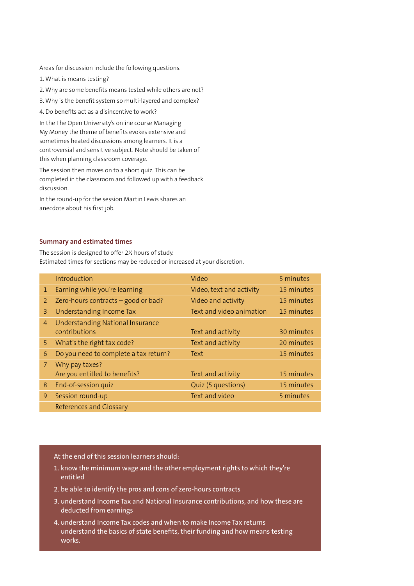Areas for discussion include the following questions.

- 1. What is means testing?
- 2. Why are some benefits means tested while others are not?
- 3. Why is the benefit system so multi-layered and complex?
- 4. Do benefits act as a disincentive to work?

In the The Open University's online course Managing My Money the theme of benefits evokes extensive and sometimes heated discussions among learners. It is a controversial and sensitive subject. Note should be taken of this when planning classroom coverage.

The session then moves on to a short quiz. This can be completed in the classroom and followed up with a feedback discussion.

In the round-up for the session Martin Lewis shares an anecdote about his first job.

#### **Summary and estimated times**

The session is designed to offer 2½ hours of study. Estimated times for sections may be reduced or increased at your discretion.

|              | Introduction                                      | Video                    | 5 minutes  |
|--------------|---------------------------------------------------|--------------------------|------------|
| $\mathbf{1}$ | Earning while you're learning                     | Video, text and activity | 15 minutes |
| 2            | Zero-hours contracts - good or bad?               | Video and activity       | 15 minutes |
| 3            | Understanding Income Tax                          | Text and video animation | 15 minutes |
| 4            | Understanding National Insurance<br>contributions | Text and activity        | 30 minutes |
| 5            | What's the right tax code?                        | Text and activity        | 20 minutes |
| 6            | Do you need to complete a tax return?             | Text                     | 15 minutes |
| 7            | Why pay taxes?<br>Are you entitled to benefits?   | Text and activity        | 15 minutes |
| 8            | End-of-session quiz                               | Quiz (5 questions)       | 15 minutes |
| 9            | Session round-up                                  | Text and video           | 5 minutes  |
|              | References and Glossary                           |                          |            |

- 1. know the minimum wage and the other employment rights to which they're entitled
- 2. be able to identify the pros and cons of zero-hours contracts
- 3. understand Income Tax and National Insurance contributions, and how these are deducted from earnings
- 4. understand Income Tax codes and when to make Income Tax returns understand the basics of state benefits, their funding and how means testing works.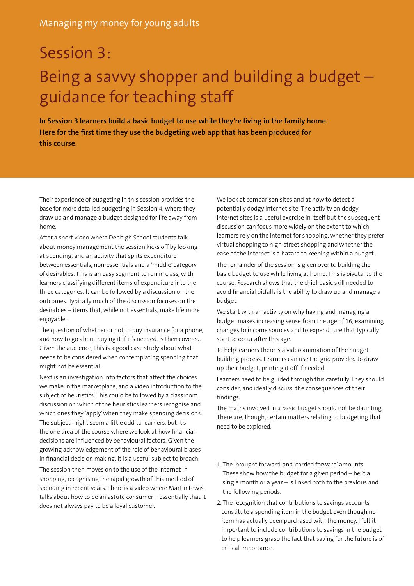## Session 3:

# Being a savvy shopper and building a budget – guidance for teaching staff

**In Session 3 learners build a basic budget to use while they're living in the family home. Here for the first time they use the budgeting web app that has been produced for this course.** 

Their experience of budgeting in this session provides the base for more detailed budgeting in Session 4, where they draw up and manage a budget designed for life away from home.

After a short video where Denbigh School students talk about money management the session kicks off by looking at spending, and an activity that splits expenditure between essentials, non-essentials and a 'middle' category of desirables. This is an easy segment to run in class, with learners classifying different items of expenditure into the three categories. It can be followed by a discussion on the outcomes. Typically much of the discussion focuses on the desirables – items that, while not essentials, make life more enjoyable.

The question of whether or not to buy insurance for a phone, and how to go about buying it if it's needed, is then covered. Given the audience, this is a good case study about what needs to be considered when contemplating spending that might not be essential.

Next is an investigation into factors that affect the choices we make in the marketplace, and a video introduction to the subject of heuristics. This could be followed by a classroom discussion on which of the heuristics learners recognise and which ones they 'apply' when they make spending decisions. The subject might seem a little odd to learners, but it's the one area of the course where we look at how financial decisions are influenced by behavioural factors. Given the growing acknowledgement of the role of behavioural biases in financial decision making, it is a useful subject to broach.

The session then moves on to the use of the internet in shopping, recognising the rapid growth of this method of spending in recent years. There is a video where Martin Lewis talks about how to be an astute consumer – essentially that it does not always pay to be a loyal customer.

We look at comparison sites and at how to detect a potentially dodgy internet site. The activity on dodgy internet sites is a useful exercise in itself but the subsequent discussion can focus more widely on the extent to which learners rely on the internet for shopping, whether they prefer virtual shopping to high-street shopping and whether the ease of the internet is a hazard to keeping within a budget.

The remainder of the session is given over to building the basic budget to use while living at home. This is pivotal to the course. Research shows that the chief basic skill needed to avoid financial pitfalls is the ability to draw up and manage a budget.

We start with an activity on why having and managing a budget makes increasing sense from the age of 16, examining changes to income sources and to expenditure that typically start to occur after this age.

To help learners there is a video animation of the budgetbuilding process. Learners can use the grid provided to draw up their budget, printing it off if needed.

Learners need to be guided through this carefully. They should consider, and ideally discuss, the consequences of their findings.

The maths involved in a basic budget should not be daunting. There are, though, certain matters relating to budgeting that need to be explored.

- 1. The 'brought forward' and 'carried forward' amounts. These show how the budget for a given period  $-$  be it a single month or a year – is linked both to the previous and the following periods.
- 2. The recognition that contributions to savings accounts constitute a spending item in the budget even though no item has actually been purchased with the money. I felt it important to include contributions to savings in the budget to help learners grasp the fact that saving for the future is of critical importance.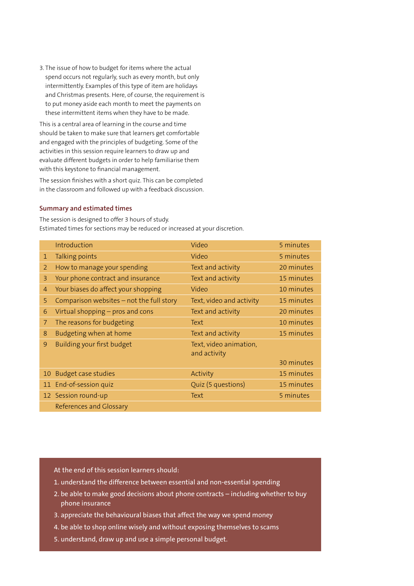3. The issue of how to budget for items where the actual spend occurs not regularly, such as every month, but only intermittently. Examples of this type of item are holidays and Christmas presents. Here, of course, the requirement is to put money aside each month to meet the payments on these intermittent items when they have to be made.

This is a central area of learning in the course and time should be taken to make sure that learners get comfortable and engaged with the principles of budgeting. Some of the activities in this session require learners to draw up and evaluate different budgets in order to help familiarise them with this keystone to financial management.

The session finishes with a short quiz. This can be completed in the classroom and followed up with a feedback discussion.

#### **Summary and estimated times**

The session is designed to offer 3 hours of study. Estimated times for sections may be reduced or increased at your discretion.

|                 | Introduction                             | Video                                  | 5 minutes  |
|-----------------|------------------------------------------|----------------------------------------|------------|
| $\mathbf{1}$    | Talking points                           | Video                                  | 5 minutes  |
| 2               | How to manage your spending              | Text and activity                      | 20 minutes |
| 3               | Your phone contract and insurance        | Text and activity                      | 15 minutes |
| 4               | Your biases do affect your shopping      | Video                                  | 10 minutes |
| 5               | Comparison websites - not the full story | Text, video and activity               | 15 minutes |
| 6               | Virtual shopping - pros and cons         | Text and activity                      | 20 minutes |
| 7               | The reasons for budgeting                | Text                                   | 10 minutes |
| 8               | Budgeting when at home                   | Text and activity                      | 15 minutes |
| 9               | Building your first budget               | Text, video animation,<br>and activity |            |
|                 |                                          |                                        | 30 minutes |
| 10 <sub>1</sub> | <b>Budget case studies</b>               | Activity                               | 15 minutes |
|                 | 11 End-of-session quiz                   | Quiz (5 questions)                     | 15 minutes |
|                 | 12 Session round-up                      | Text                                   | 5 minutes  |
|                 | <b>References and Glossary</b>           |                                        |            |

- 1. understand the difference between essential and non-essential spending
- 2. be able to make good decisions about phone contracts including whether to buy phone insurance
- 3. appreciate the behavioural biases that affect the way we spend money
- 4. be able to shop online wisely and without exposing themselves to scams
- 5. understand, draw up and use a simple personal budget.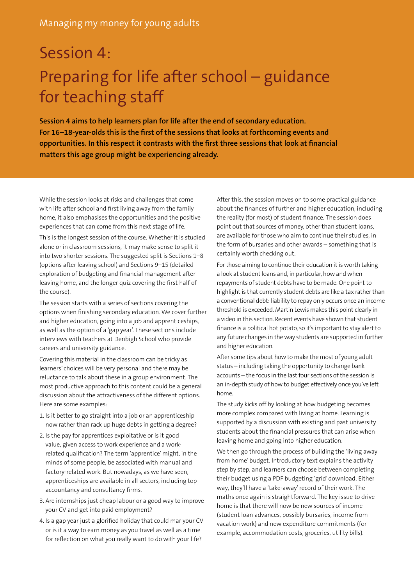# Session 4: Preparing for life after school – guidance for teaching staff

**Session 4 aims to help learners plan for life after the end of secondary education. For 16–18-year-olds this is the first of the sessions that looks at forthcoming events and opportunities. In this respect it contrasts with the first three sessions that look at financial matters this age group might be experiencing already.**

While the session looks at risks and challenges that come with life after school and first living away from the family home, it also emphasises the opportunities and the positive experiences that can come from this next stage of life.

This is the longest session of the course. Whether it is studied alone or in classroom sessions, it may make sense to split it into two shorter sessions. The suggested split is Sections 1–8 (options after leaving school) and Sections 9–15 (detailed exploration of budgeting and financial management after leaving home, and the longer quiz covering the first half of the course).

The session starts with a series of sections covering the options when finishing secondary education. We cover further and higher education, going into a job and apprenticeships, as well as the option of a 'gap year'. These sections include interviews with teachers at Denbigh School who provide careers and university guidance.

Covering this material in the classroom can be tricky as learners' choices will be very personal and there may be reluctance to talk about these in a group environment. The most productive approach to this content could be a general discussion about the attractiveness of the different options. Here are some examples:

- 1. Is it better to go straight into a job or an apprenticeship now rather than rack up huge debts in getting a degree?
- 2. Is the pay for apprentices exploitative or is it good value, given access to work experience and a workrelated qualification? The term 'apprentice' might, in the minds of some people, be associated with manual and factory-related work. But nowadays, as we have seen, apprenticeships are available in all sectors, including top accountancy and consultancy firms.
- 3. Are internships just cheap labour or a good way to improve your CV and get into paid employment?
- 4. Is a gap year just a glorified holiday that could mar your CV or is it a way to earn money as you travel as well as a time for reflection on what you really want to do with your life?

After this, the session moves on to some practical guidance about the finances of further and higher education, including the reality (for most) of student finance. The session does point out that sources of money, other than student loans, are available for those who aim to continue their studies, in the form of bursaries and other awards – something that is certainly worth checking out.

For those aiming to continue their education it is worth taking a look at student loans and, in particular, how and when repayments of student debts have to be made. One point to highlight is that currently student debts are like a tax rather than a conventional debt: liability to repay only occurs once an income threshold is exceeded. Martin Lewis makes this point clearly in a video in this section. Recent events have shown that student finance is a political hot potato, so it's important to stay alert to any future changes in the way students are supported in further and higher education.

After some tips about how to make the most of young adult status – including taking the opportunity to change bank accounts – the focus in the last four sections of the session is an in-depth study of how to budget effectively once you've left home.

The study kicks off by looking at how budgeting becomes more complex compared with living at home. Learning is supported by a discussion with existing and past university students about the financial pressures that can arise when leaving home and going into higher education.

We then go through the process of building the 'living away from home' budget. Introductory text explains the activity step by step, and learners can choose between completing their budget using a PDF budgeting 'grid' download. Either way, they'll have a 'take-away' record of their work. The maths once again is straightforward. The key issue to drive home is that there will now be new sources of income (student loan advances, possibly bursaries, income from vacation work) and new expenditure commitments (for example, accommodation costs, groceries, utility bills).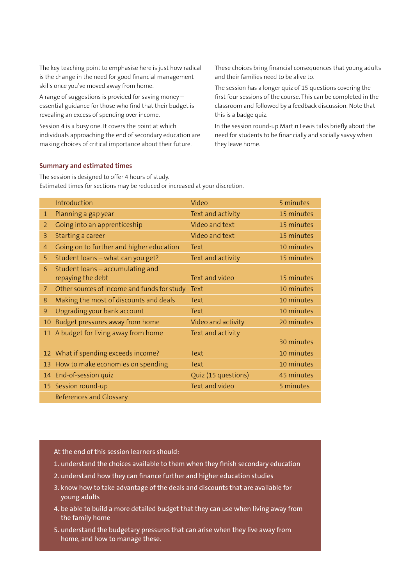The key teaching point to emphasise here is just how radical is the change in the need for good financial management skills once you've moved away from home.

A range of suggestions is provided for saving money – essential guidance for those who find that their budget is revealing an excess of spending over income.

Session 4 is a busy one. It covers the point at which individuals approaching the end of secondary education are making choices of critical importance about their future.

These choices bring financial consequences that young adults and their families need to be alive to.

The session has a longer quiz of 15 questions covering the first four sessions of the course. This can be completed in the classroom and followed by a feedback discussion. Note that this is a badge quiz.

In the session round-up Martin Lewis talks briefly about the need for students to be financially and socially savvy when they leave home.

#### **Summary and estimated times**

The session is designed to offer 4 hours of study. Estimated times for sections may be reduced or increased at your discretion.

|    | Introduction                                | Video               | 5 minutes  |
|----|---------------------------------------------|---------------------|------------|
| 1  | Planning a gap year                         | Text and activity   | 15 minutes |
| 2  | Going into an apprenticeship                | Video and text      | 15 minutes |
| 3  | Starting a career                           | Video and text      | 15 minutes |
| 4  | Going on to further and higher education    | Text                | 10 minutes |
| 5  | Student loans - what can you get?           | Text and activity   | 15 minutes |
| 6  | Student loans - accumulating and            |                     |            |
|    | repaying the debt                           | Text and video      | 15 minutes |
| 7  | Other sources of income and funds for study | Text                | 10 minutes |
| 8  | Making the most of discounts and deals      | Text                | 10 minutes |
| 9  | Upgrading your bank account                 | Text                | 10 minutes |
| 10 | Budget pressures away from home             | Video and activity  | 20 minutes |
|    | 11 A budget for living away from home       | Text and activity   |            |
|    |                                             |                     | 30 minutes |
|    | 12 What if spending exceeds income?         | Text                | 10 minutes |
|    | 13 How to make economies on spending        | Text                | 10 minutes |
|    | 14 End-of-session quiz                      | Quiz (15 questions) | 45 minutes |
|    | 15 Session round-up                         | Text and video      | 5 minutes  |
|    | References and Glossary                     |                     |            |

- 1. understand the choices available to them when they finish secondary education
- 2. understand how they can finance further and higher education studies
- 3. know how to take advantage of the deals and discounts that are available for young adults
- 4. be able to build a more detailed budget that they can use when living away from the family home
- 5. understand the budgetary pressures that can arise when they live away from home, and how to manage these.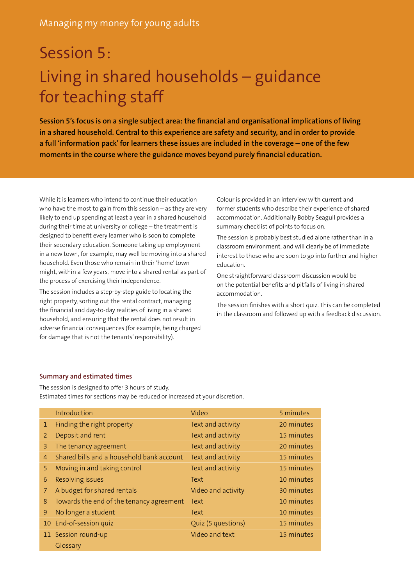# Session 5: Living in shared households – guidance for teaching staff

**Session 5's focus is on a single subject area: the financial and organisational implications of living in a shared household. Central to this experience are safety and security, and in order to provide a full 'information pack' for learners these issues are included in the coverage – one of the few moments in the course where the guidance moves beyond purely financial education.** 

While it is learners who intend to continue their education who have the most to gain from this session – as they are very likely to end up spending at least a year in a shared household during their time at university or college – the treatment is designed to benefit every learner who is soon to complete their secondary education. Someone taking up employment in a new town, for example, may well be moving into a shared household. Even those who remain in their 'home' town might, within a few years, move into a shared rental as part of the process of exercising their independence.

The session includes a step-by-step guide to locating the right property, sorting out the rental contract, managing the financial and day-to-day realities of living in a shared household, and ensuring that the rental does not result in adverse financial consequences (for example, being charged for damage that is not the tenants' responsibility).

Colour is provided in an interview with current and former students who describe their experience of shared accommodation. Additionally Bobby Seagull provides a summary checklist of points to focus on.

The session is probably best studied alone rather than in a classroom environment, and will clearly be of immediate interest to those who are soon to go into further and higher education.

One straightforward classroom discussion would be on the potential benefits and pitfalls of living in shared accommodation.

The session finishes with a short quiz. This can be completed in the classroom and followed up with a feedback discussion.

#### **Summary and estimated times**

The session is designed to offer 3 hours of study. Estimated times for sections may be reduced or increased at your discretion.

|                | Introduction                              | Video              | 5 minutes  |
|----------------|-------------------------------------------|--------------------|------------|
| $\mathbf{1}$   | Finding the right property                | Text and activity  | 20 minutes |
| 2              | Deposit and rent                          | Text and activity  | 15 minutes |
| 3              | The tenancy agreement                     | Text and activity  | 20 minutes |
| $\overline{4}$ | Shared bills and a household bank account | Text and activity  | 15 minutes |
| 5              | Moving in and taking control              | Text and activity  | 15 minutes |
| 6              | Resolving issues                          | Text               | 10 minutes |
| 7              | A budget for shared rentals               | Video and activity | 30 minutes |
| 8              | Towards the end of the tenancy agreement  | Text               | 10 minutes |
| 9              | No longer a student                       | Text               | 10 minutes |
|                | 10 End-of-session quiz                    | Quiz (5 questions) | 15 minutes |
|                | 11 Session round-up                       | Video and text     | 15 minutes |
|                | Glossary                                  |                    |            |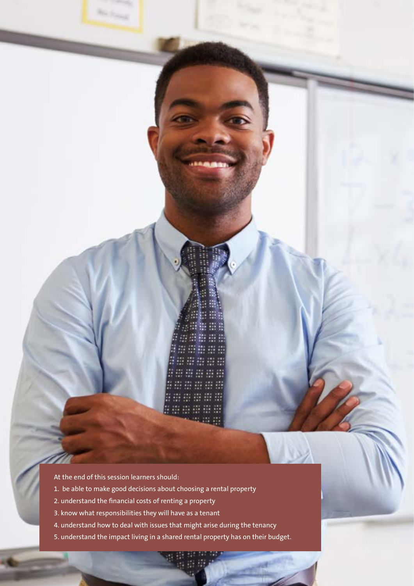<u>om er er er </u> www.com se er er er er ##### ##### 58

At the end of this session learners should:

**No Force** 

- 1. be able to make good decisions about choosing a rental property
- 2. understand the financial costs of renting a property
- 3. know what responsibilities they will have as a tenant
- 4. understand how to deal with issues that might arise during the tenancy
- 5. understand the impact living in a shared rental property has on their budget.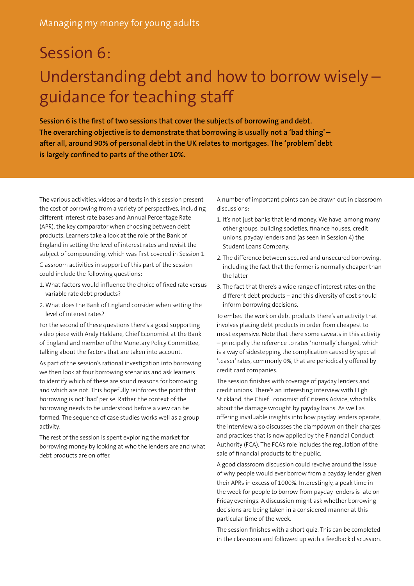# Session 6: Understanding debt and how to borrow wisely – guidance for teaching staff

**Session 6 is the first of two sessions that cover the subjects of borrowing and debt. The overarching objective is to demonstrate that borrowing is usually not a 'bad thing' – after all, around 90% of personal debt in the UK relates to mortgages. The 'problem' debt is largely confined to parts of the other 10%.**

The various activities, videos and texts in this session present the cost of borrowing from a variety of perspectives, including different interest rate bases and Annual Percentage Rate (APR), the key comparator when choosing between debt products. Learners take a look at the role of the Bank of England in setting the level of interest rates and revisit the subject of compounding, which was first covered in Session 1. Classroom activities in support of this part of the session could include the following questions:

- 1. What factors would influence the choice of fixed rate versus variable rate debt products?
- 2. What does the Bank of England consider when setting the level of interest rates?

For the second of these questions there's a good supporting video piece with Andy Haldane, Chief Economist at the Bank of England and member of the Monetary Policy Committee, talking about the factors that are taken into account.

As part of the session's rational investigation into borrowing we then look at four borrowing scenarios and ask learners to identify which of these are sound reasons for borrowing and which are not. This hopefully reinforces the point that borrowing is not 'bad' per se. Rather, the context of the borrowing needs to be understood before a view can be formed. The sequence of case studies works well as a group activity.

The rest of the session is spent exploring the market for borrowing money by looking at who the lenders are and what debt products are on offer.

A number of important points can be drawn out in classroom discussions:

- 1. It's not just banks that lend money. We have, among many other groups, building societies, finance houses, credit unions, payday lenders and (as seen in Session 4) the Student Loans Company.
- 2. The difference between secured and unsecured borrowing, including the fact that the former is normally cheaper than the latter
- 3. The fact that there's a wide range of interest rates on the different debt products – and this diversity of cost should inform borrowing decisions.

To embed the work on debt products there's an activity that involves placing debt products in order from cheapest to most expensive. Note that there some caveats in this activity – principally the reference to rates 'normally' charged, which is a way of sidestepping the complication caused by special 'teaser' rates, commonly 0%, that are periodically offered by credit card companies.

The session finishes with coverage of payday lenders and credit unions. There's an interesting interview with High Stickland, the Chief Economist of Citizens Advice, who talks about the damage wrought by payday loans. As well as offering invaluable insights into how payday lenders operate, the interview also discusses the clampdown on their charges and practices that is now applied by the Financial Conduct Authority (FCA). The FCA's role includes the regulation of the sale of financial products to the public.

A good classroom discussion could revolve around the issue of why people would ever borrow from a payday lender, given their APRs in excess of 1000%. Interestingly, a peak time in the week for people to borrow from payday lenders is late on Friday evenings. A discussion might ask whether borrowing decisions are being taken in a considered manner at this particular time of the week.

The session finishes with a short quiz. This can be completed in the classroom and followed up with a feedback discussion.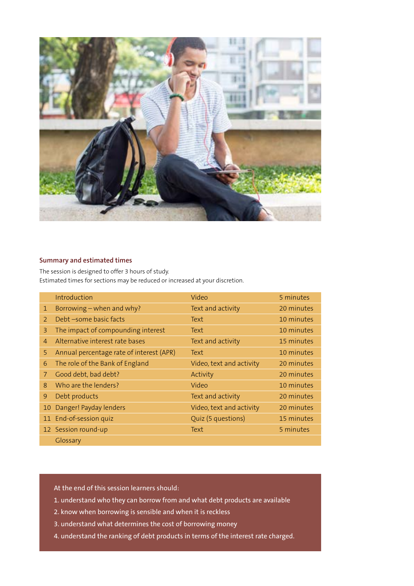

#### **Summary and estimated times**

The session is designed to offer 3 hours of study. Estimated times for sections may be reduced or increased at your discretion.

|                | Introduction                             | Video                    | 5 minutes  |
|----------------|------------------------------------------|--------------------------|------------|
| $\mathbf{1}$   | Borrowing - when and why?                | Text and activity        | 20 minutes |
| $\mathcal{P}$  | Debt -some basic facts                   | Text                     | 10 minutes |
| 3              | The impact of compounding interest       | Text                     | 10 minutes |
| $\overline{4}$ | Alternative interest rate bases          | Text and activity        | 15 minutes |
| 5              | Annual percentage rate of interest (APR) | Text                     | 10 minutes |
| 6              | The role of the Bank of England          | Video, text and activity | 20 minutes |
| 7              | Good debt, bad debt?                     | Activity                 | 20 minutes |
| 8              | Who are the lenders?                     | Video                    | 10 minutes |
| 9              | Debt products                            | Text and activity        | 20 minutes |
|                | 10 Danger! Payday lenders                | Video, text and activity | 20 minutes |
|                | 11 End-of-session quiz                   | Quiz (5 questions)       | 15 minutes |
|                | 12 Session round-up                      | Text                     | 5 minutes  |
|                | Glossary                                 |                          |            |

- 1. understand who they can borrow from and what debt products are available
- 2. know when borrowing is sensible and when it is reckless
- 3. understand what determines the cost of borrowing money
- 4. understand the ranking of debt products in terms of the interest rate charged.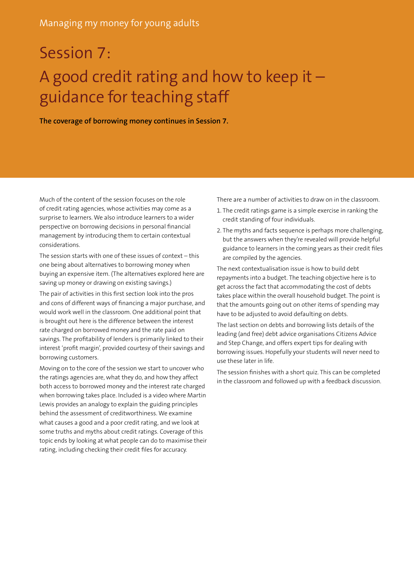# Session 7: A good credit rating and how to keep it – guidance for teaching staff

**The coverage of borrowing money continues in Session 7.** 

Much of the content of the session focuses on the role of credit rating agencies, whose activities may come as a surprise to learners. We also introduce learners to a wider perspective on borrowing decisions in personal financial management by introducing them to certain contextual considerations.

The session starts with one of these issues of context – this one being about alternatives to borrowing money when buying an expensive item. (The alternatives explored here are saving up money or drawing on existing savings.)

The pair of activities in this first section look into the pros and cons of different ways of financing a major purchase, and would work well in the classroom. One additional point that is brought out here is the difference between the interest rate charged on borrowed money and the rate paid on savings. The profitability of lenders is primarily linked to their interest 'profit margin', provided courtesy of their savings and borrowing customers.

Moving on to the core of the session we start to uncover who the ratings agencies are, what they do, and how they affect both access to borrowed money and the interest rate charged when borrowing takes place. Included is a video where Martin Lewis provides an analogy to explain the guiding principles behind the assessment of creditworthiness. We examine what causes a good and a poor credit rating, and we look at some truths and myths about credit ratings. Coverage of this topic ends by looking at what people can do to maximise their rating, including checking their credit files for accuracy.

There are a number of activities to draw on in the classroom.

- 1. The credit ratings game is a simple exercise in ranking the credit standing of four individuals.
- 2. The myths and facts sequence is perhaps more challenging, but the answers when they're revealed will provide helpful guidance to learners in the coming years as their credit files are compiled by the agencies.

The next contextualisation issue is how to build debt repayments into a budget. The teaching objective here is to get across the fact that accommodating the cost of debts takes place within the overall household budget. The point is that the amounts going out on other items of spending may have to be adjusted to avoid defaulting on debts.

The last section on debts and borrowing lists details of the leading (and free) debt advice organisations Citizens Advice and Step Change, and offers expert tips for dealing with borrowing issues. Hopefully your students will never need to use these later in life.

The session finishes with a short quiz. This can be completed in the classroom and followed up with a feedback discussion.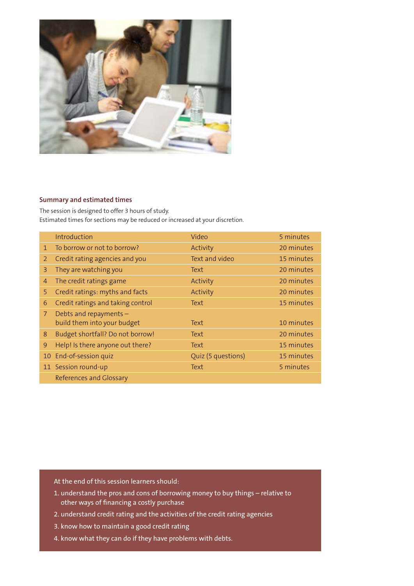

#### **Summary and estimated times**

The session is designed to offer 3 hours of study. Estimated times for sections may be reduced or increased at your discretion.

|                | Introduction                      | Video              | 5 minutes  |
|----------------|-----------------------------------|--------------------|------------|
| $\mathbf{1}$   | To borrow or not to borrow?       | Activity           | 20 minutes |
| $\overline{2}$ | Credit rating agencies and you    | Text and video     | 15 minutes |
| 3              | They are watching you             | Text               | 20 minutes |
| 4              | The credit ratings game           | Activity           | 20 minutes |
| 5.             | Credit ratings: myths and facts   | Activity           | 20 minutes |
| 6              | Credit ratings and taking control | Text               | 15 minutes |
| $\overline{7}$ | Debts and repayments -            |                    |            |
|                | build them into your budget       | Text               | 10 minutes |
| 8              | Budget shortfall? Do not borrow!  | Text               | 20 minutes |
| 9              | Help! Is there anyone out there?  | Text               | 15 minutes |
|                | 10 End-of-session quiz            | Quiz (5 questions) | 15 minutes |
|                | 11 Session round-up               | Text               | 5 minutes  |
|                | References and Glossary           |                    |            |

- 1. understand the pros and cons of borrowing money to buy things relative to other ways of financing a costly purchase
- 2. understand credit rating and the activities of the credit rating agencies
- 3. know how to maintain a good credit rating
- 4. know what they can do if they have problems with debts.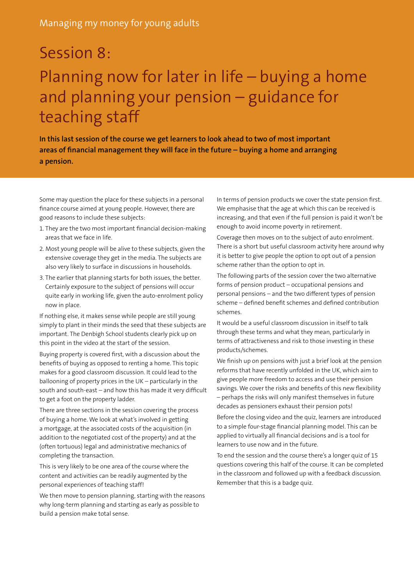# Session 8: Planning now for later in life – buying a home and planning your pension – guidance for teaching staff

**In this last session of the course we get learners to look ahead to two of most important areas of financial management they will face in the future – buying a home and arranging a pension.** 

Some may question the place for these subjects in a personal finance course aimed at young people. However, there are good reasons to include these subjects:

- 1. They are the two most important financial decision-making areas that we face in life.
- 2. Most young people will be alive to these subjects, given the extensive coverage they get in the media. The subjects are also very likely to surface in discussions in households.
- 3. The earlier that planning starts for both issues, the better. Certainly exposure to the subject of pensions will occur quite early in working life, given the auto-enrolment policy now in place.

If nothing else, it makes sense while people are still young simply to plant in their minds the seed that these subjects are important. The Denbigh School students clearly pick up on this point in the video at the start of the session.

Buying property is covered first, with a discussion about the benefits of buying as opposed to renting a home. This topic makes for a good classroom discussion. It could lead to the ballooning of property prices in the UK – particularly in the south and south-east – and how this has made it very difficult to get a foot on the property ladder.

There are three sections in the session covering the process of buying a home. We look at what's involved in getting a mortgage, at the associated costs of the acquisition (in addition to the negotiated cost of the property) and at the (often tortuous) legal and administrative mechanics of completing the transaction.

This is very likely to be one area of the course where the content and activities can be readily augmented by the personal experiences of teaching staff!

We then move to pension planning, starting with the reasons why long-term planning and starting as early as possible to build a pension make total sense.

In terms of pension products we cover the state pension first. We emphasise that the age at which this can be received is increasing, and that even if the full pension is paid it won't be enough to avoid income poverty in retirement.

Coverage then moves on to the subject of auto enrolment. There is a short but useful classroom activity here around why it is better to give people the option to opt out of a pension scheme rather than the option to opt in.

The following parts of the session cover the two alternative forms of pension product – occupational pensions and personal pensions – and the two different types of pension scheme – defined benefit schemes and defined contribution schemes.

It would be a useful classroom discussion in itself to talk through these terms and what they mean, particularly in terms of attractiveness and risk to those investing in these products/schemes.

We finish up on pensions with just a brief look at the pension reforms that have recently unfolded in the UK, which aim to give people more freedom to access and use their pension savings. We cover the risks and benefits of this new flexibility – perhaps the risks will only manifest themselves in future decades as pensioners exhaust their pension pots!

Before the closing video and the quiz, learners are introduced to a simple four-stage financial planning model. This can be applied to virtually all financial decisions and is a tool for learners to use now and in the future.

To end the session and the course there's a longer quiz of 15 questions covering this half of the course. It can be completed in the classroom and followed up with a feedback discussion. Remember that this is a badge quiz.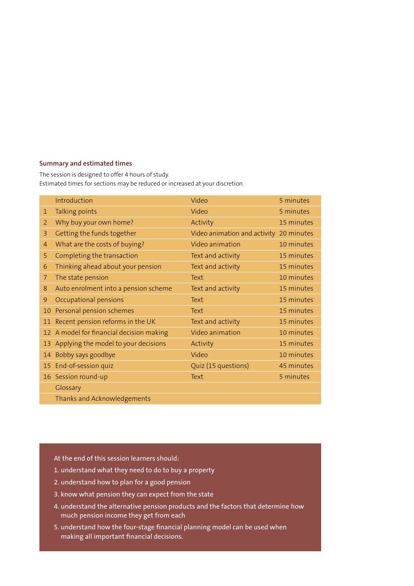#### **Summary and estimated times**

The session is designed to offer 4 hours of study. Estimated times for sections may be reduced or increased at your discretion.

|                | Introduction                             | Video                        | 5 minutes  |
|----------------|------------------------------------------|------------------------------|------------|
| 1              | Talking points                           | Video                        | 5 minutes  |
| 2              | Why buy your own home?                   | Activity                     | 15 minutes |
| 3              | Getting the funds together               | Video animation and activity | 20 minutes |
| $\overline{4}$ | What are the costs of buying?            | Video animation              | 10 minutes |
| 5              | Completing the transaction               | Text and activity            | 15 minutes |
| 6              | Thinking ahead about your pension        | Text and activity            | 15 minutes |
| 7              | The state pension                        | Text                         | 10 minutes |
| 8              | Auto enrolment into a pension scheme     | Text and activity            | 15 minutes |
| 9              | Occupational pensions                    | Text                         | 15 minutes |
| 10             | Personal pension schemes                 | Text                         | 15 minutes |
| 11             | Recent pension reforms in the UK         | Text and activity            | 15 minutes |
|                | 12 A model for financial decision making | Video animation              | 10 minutes |
| 13             | Applying the model to your decisions     | Activity                     | 15 minutes |
|                | 14 Bobby says goodbye                    | Video                        | 10 minutes |
|                | 15 End-of-session quiz                   | Quiz (15 questions)          | 45 minutes |
|                | 16 Session round-up                      | Text                         | 5 minutes  |
|                | Glossary                                 |                              |            |
|                | Thanks and Acknowledgements              |                              |            |

- 1. understand what they need to do to buy a property
- 2. understand how to plan for a good pension
- 3. know what pension they can expect from the state
- 4. understand the alternative pension products and the factors that determine how much pension income they get from each
- 5. understand how the four-stage financial planning model can be used when making all important financial decisions.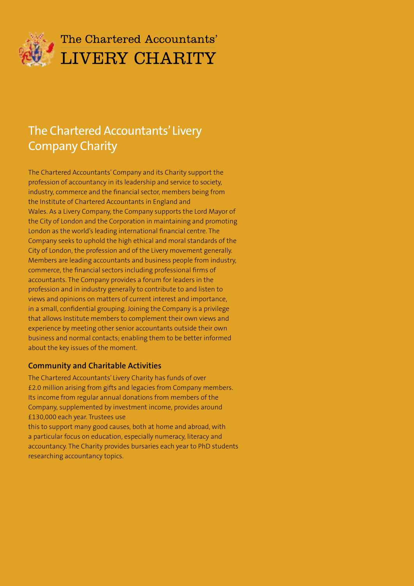

## The Chartered Accountants' **LIVERY CHARITY**

## The Chartered Accountants' Livery Company Charity

The Chartered Accountants' Company and its Charity support the profession of accountancy in its leadership and service to society, industry, commerce and the financial sector, members being from the Institute of Chartered Accountants in England and Wales. As a Livery Company, the Company supports the Lord Mayor of the City of London and the Corporation in maintaining and promoting London as the world's leading international financial centre. The Company seeks to uphold the high ethical and moral standards of the City of London, the profession and of the Livery movement generally. Members are leading accountants and business people from industry, commerce, the financial sectors including professional firms of accountants. The Company provides a forum for leaders in the profession and in industry generally to contribute to and listen to views and opinions on matters of current interest and importance, in a small, confidential grouping. Joining the Company is a privilege that allows Institute members to complement their own views and experience by meeting other senior accountants outside their own business and normal contacts; enabling them to be better informed about the key issues of the moment.

### **Community and Charitable Activities**

The Chartered Accountants' Livery Charity has funds of over £2.0 million arising from gifts and legacies from Company members. Its income from regular annual donations from members of the Company, supplemented by investment income, provides around £130,000 each year. Trustees use

this to support many good causes, both at home and abroad, with a particular focus on education, especially numeracy, literacy and accountancy. The Charity provides bursaries each year to PhD students researching accountancy topics.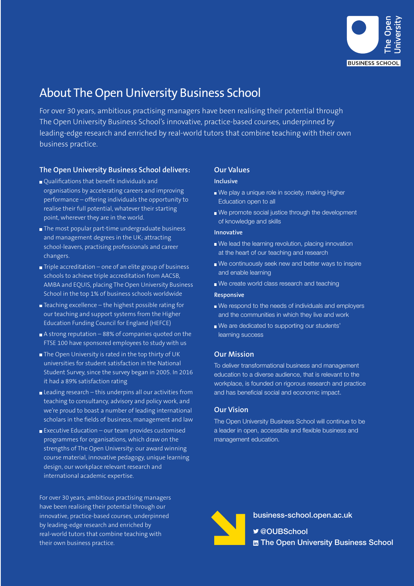

## About The Open University Business School

For over 30 years, ambitious practising managers have been realising their potential through The Open University Business School's innovative, practice-based courses, underpinned by leading-edge research and enriched by real-world tutors that combine teaching with their own business practice.

#### **The Open University Business School delivers:**

- Qualifications that benefit individuals and organisations by accelerating careers and improving performance – offering individuals the opportunity to realise their full potential, whatever their starting point, wherever they are in the world.
- The most popular part-time undergraduate business and management degrees in the UK; attracting school-leavers, practising professionals and career changers.
- $\blacksquare$  Triple accreditation one of an elite group of business schools to achieve triple accreditation from AACSB, AMBA and EQUIS, placing The Open University Business School in the top 1% of business schools worldwide
- $\blacksquare$  Teaching excellence the highest possible rating for our teaching and support systems from the Higher Education Funding Council for England (HEFCE)
- $\blacksquare$  A strong reputation 88% of companies quoted on the FTSE 100 have sponsored employees to study with us
- The Open University is rated in the top thirty of UK universities for student satisfaction in the National Student Survey, since the survey began in 2005. In 2016 it had a 89% satisfaction rating
- Leading research this underpins all our activities from teaching to consultancy, advisory and policy work, and we're proud to boast a number of leading international scholars in the fields of business, management and law
- $\blacksquare$  Executive Education our team provides customised programmes for organisations, which draw on the strengths of The Open University: our award winning course material, innovative pedagogy, unique learning design, our workplace relevant research and international academic expertise.

For over 30 years, ambitious practising managers have been realising their potential through our innovative, practice-based courses, underpinned by leading-edge research and enriched by real-world tutors that combine teaching with their own business practice.

#### **Our Values**

#### **Inclusive**

- We play a unique role in society, making Higher Education open to all
- We promote social justice through the development of knowledge and skills

#### **Innovative**

- We lead the learning revolution, placing innovation at the heart of our teaching and research
- We continuously seek new and better ways to inspire and enable learning
- We create world class research and teaching

#### **Responsive**

- We respond to the needs of individuals and employers and the communities in which they live and work
- We are dedicated to supporting our students' learning success

#### **Our Mission**

To deliver transformational business and management education to a diverse audience, that is relevant to the workplace, is founded on rigorous research and practice and has beneficial social and economic impact.

#### **Our Vision**

The Open University Business School will continue to be a leader in open, accessible and flexible business and management education.